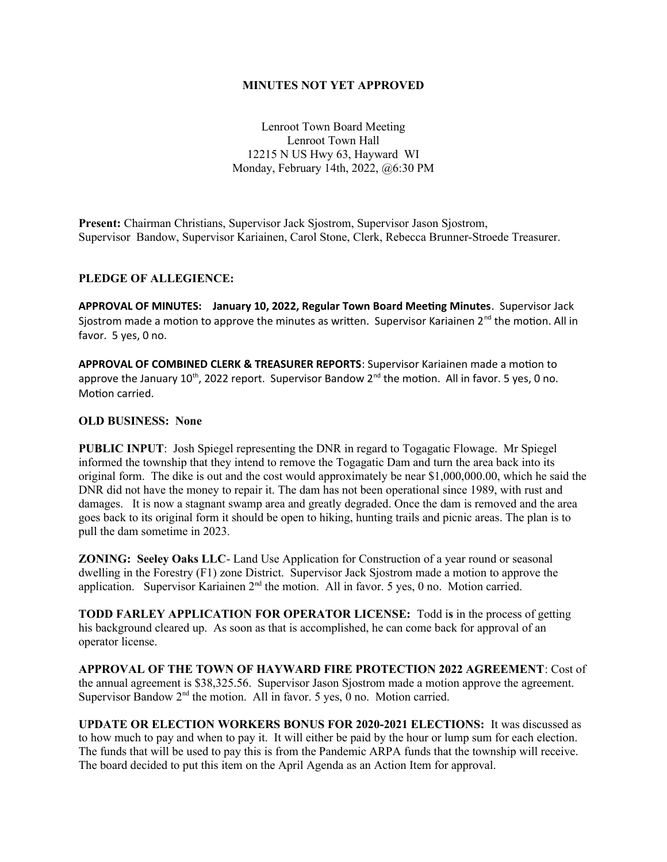### **MINUTES NOT YET APPROVED**

Lenroot Town Board Meeting Lenroot Town Hall 12215 N US Hwy 63, Hayward WI Monday, February 14th, 2022, @6:30 PM

**Present:** Chairman Christians, Supervisor Jack Sjostrom, Supervisor Jason Sjostrom, Supervisor Bandow, Supervisor Kariainen, Carol Stone, Clerk, Rebecca Brunner-Stroede Treasurer.

# **PLEDGE OF ALLEGIENCE:**

**APPROVAL OF MINUTES: January 10, 2022, Regular Town Board Meeting Minutes**. Supervisor Jack Sjostrom made a motion to approve the minutes as written. Supervisor Kariainen  $2^{nd}$  the motion. All in favor. 5 yes, 0 no.

**APPROVAL OF COMBINED CLERK & TREASURER REPORTS**: Supervisor Kariainen made a motion to approve the January  $10^{th}$ , 2022 report. Supervisor Bandow  $2^{nd}$  the motion. All in favor. 5 yes, 0 no. Motion carried.

# **OLD BUSINESS: None**

**PUBLIC INPUT**: Josh Spiegel representing the DNR in regard to Togagatic Flowage. Mr Spiegel informed the township that they intend to remove the Togagatic Dam and turn the area back into its original form. The dike is out and the cost would approximately be near \$1,000,000.00, which he said the DNR did not have the money to repair it. The dam has not been operational since 1989, with rust and damages. It is now a stagnant swamp area and greatly degraded. Once the dam is removed and the area goes back to its original form it should be open to hiking, hunting trails and picnic areas. The plan is to pull the dam sometime in 2023.

**ZONING: Seeley Oaks LLC**- Land Use Application for Construction of a year round or seasonal dwelling in the Forestry (F1) zone District. Supervisor Jack Sjostrom made a motion to approve the application. Supervisor Kariainen 2<sup>nd</sup> the motion. All in favor. 5 yes, 0 no. Motion carried.

**TODD FARLEY APPLICATION FOR OPERATOR LICENSE:** Todd i**s** in the process of getting his background cleared up. As soon as that is accomplished, he can come back for approval of an operator license.

**APPROVAL OF THE TOWN OF HAYWARD FIRE PROTECTION 2022 AGREEMENT**: Cost of the annual agreement is \$38,325.56. Supervisor Jason Sjostrom made a motion approve the agreement. Supervisor Bandow  $2<sup>nd</sup>$  the motion. All in favor. 5 yes, 0 no. Motion carried.

**UPDATE OR ELECTION WORKERS BONUS FOR 2020-2021 ELECTIONS:** It was discussed as to how much to pay and when to pay it. It will either be paid by the hour or lump sum for each election. The funds that will be used to pay this is from the Pandemic ARPA funds that the township will receive. The board decided to put this item on the April Agenda as an Action Item for approval.